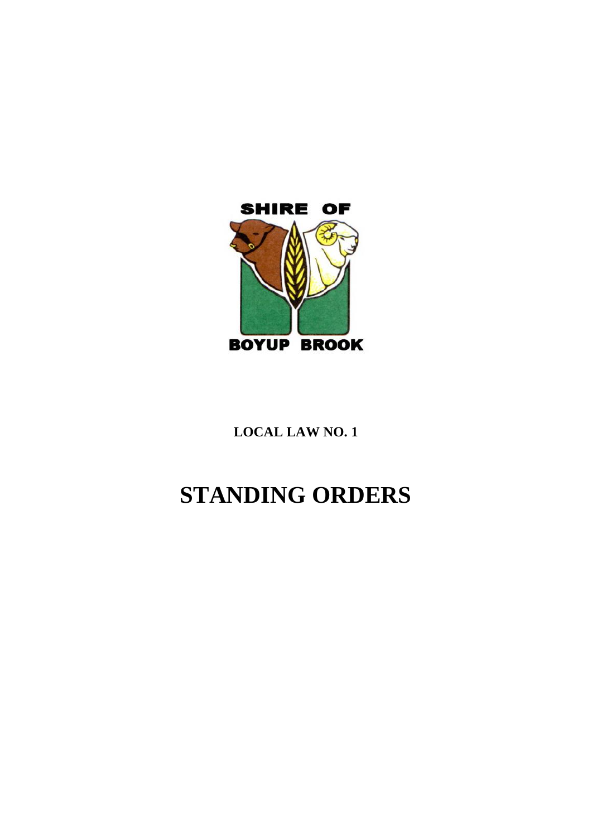

**LOCAL LAW NO. 1**

# **STANDING ORDERS**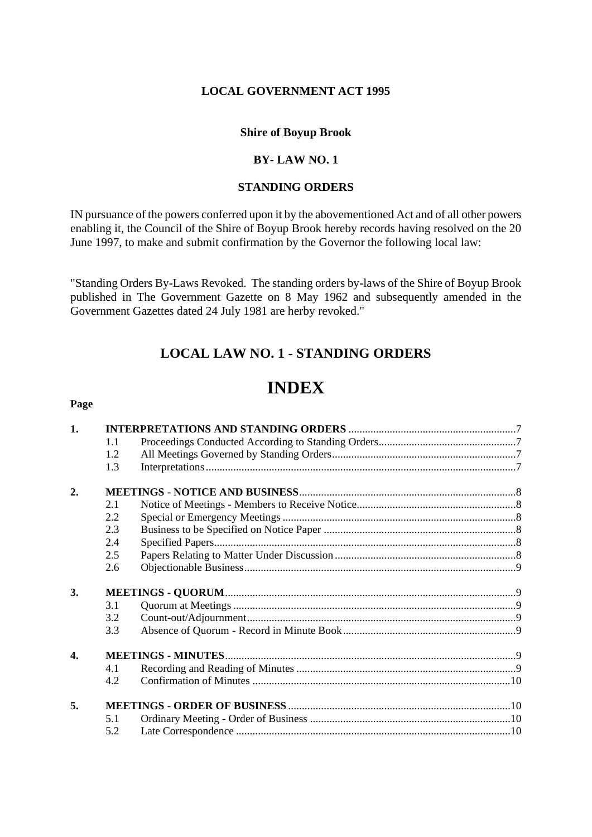## **LOCAL GOVERNMENT ACT 1995**

# **Shire of Boyup Brook**

## **BY- LAW NO. 1**

## **STANDING ORDERS**

IN pursuance of the powers conferred upon it by the abovementioned Act and of all other powers enabling it, the Council of the Shire of Boyup Brook hereby records having resolved on the 20 June 1997, to make and submit confirmation by the Governor the following local law:

"Standing Orders By-Laws Revoked. The standing orders by-laws of the Shire of Boyup Brook published in The Government Gazette on 8 May 1962 and subsequently amended in the Government Gazettes dated 24 July 1981 are herby revoked."

# **LOCAL LAW NO. 1 - STANDING ORDERS**

# **INDEX**

#### **Page**

| 1.               |     |  |  |
|------------------|-----|--|--|
|                  | 1.1 |  |  |
|                  | 1.2 |  |  |
|                  | 1.3 |  |  |
| 2.               |     |  |  |
|                  | 2.1 |  |  |
|                  | 2.2 |  |  |
|                  | 2.3 |  |  |
|                  | 2.4 |  |  |
|                  | 2.5 |  |  |
|                  | 2.6 |  |  |
| 3.               |     |  |  |
|                  | 3.1 |  |  |
|                  | 3.2 |  |  |
|                  | 3.3 |  |  |
| $\overline{4}$ . |     |  |  |
|                  | 4.1 |  |  |
|                  | 4.2 |  |  |
| 5.               |     |  |  |
|                  | 5.1 |  |  |
|                  | 5.2 |  |  |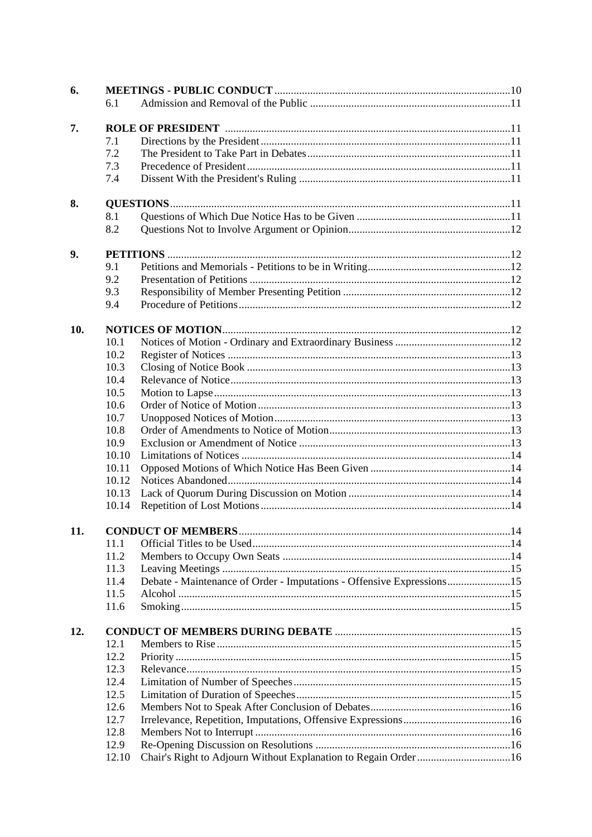|     | 6.1                             |                                                                       |  |  |  |
|-----|---------------------------------|-----------------------------------------------------------------------|--|--|--|
|     |                                 |                                                                       |  |  |  |
| 7.  |                                 |                                                                       |  |  |  |
|     | 7.1                             |                                                                       |  |  |  |
|     | 7.2                             |                                                                       |  |  |  |
|     | 7.3                             |                                                                       |  |  |  |
|     | 7.4                             |                                                                       |  |  |  |
|     |                                 |                                                                       |  |  |  |
| 8.  |                                 |                                                                       |  |  |  |
|     | 8.1<br>8.2                      |                                                                       |  |  |  |
|     |                                 |                                                                       |  |  |  |
| 9.  | 9.1                             |                                                                       |  |  |  |
|     | 9.2                             |                                                                       |  |  |  |
|     |                                 |                                                                       |  |  |  |
|     | 9.3<br>9.4                      |                                                                       |  |  |  |
|     |                                 |                                                                       |  |  |  |
| 10. |                                 |                                                                       |  |  |  |
|     | 10.1                            |                                                                       |  |  |  |
|     | 10.2                            |                                                                       |  |  |  |
|     | 10.3                            |                                                                       |  |  |  |
|     | 10.4                            |                                                                       |  |  |  |
|     | 10.5                            |                                                                       |  |  |  |
|     | 10.6                            |                                                                       |  |  |  |
|     | 10.7                            |                                                                       |  |  |  |
|     | 10.8                            |                                                                       |  |  |  |
|     | 10.9                            |                                                                       |  |  |  |
|     | 10.10                           |                                                                       |  |  |  |
|     | 10.11                           |                                                                       |  |  |  |
|     | 10.12                           |                                                                       |  |  |  |
|     | 10.13                           |                                                                       |  |  |  |
|     | 10.14                           |                                                                       |  |  |  |
| 11. | <b>CONDUCT OF MEMBERS</b><br>14 |                                                                       |  |  |  |
|     | 11.1                            |                                                                       |  |  |  |
|     | 11.2                            |                                                                       |  |  |  |
|     | 11.3                            |                                                                       |  |  |  |
|     | 11.4                            | Debate - Maintenance of Order - Imputations - Offensive Expressions15 |  |  |  |
|     | 11.5                            |                                                                       |  |  |  |
|     | 11.6                            |                                                                       |  |  |  |
|     |                                 |                                                                       |  |  |  |
| 12. |                                 |                                                                       |  |  |  |
|     | 12.1<br>12.2                    |                                                                       |  |  |  |
|     | 12.3                            |                                                                       |  |  |  |
|     |                                 |                                                                       |  |  |  |
|     | 12.4                            |                                                                       |  |  |  |
|     | 12.5                            |                                                                       |  |  |  |
|     | 12.6                            |                                                                       |  |  |  |
|     | 12.7                            |                                                                       |  |  |  |
|     | 12.8                            |                                                                       |  |  |  |
|     | 12.9                            |                                                                       |  |  |  |
|     | 12.10                           | Chair's Right to Adjourn Without Explanation to Regain Order16        |  |  |  |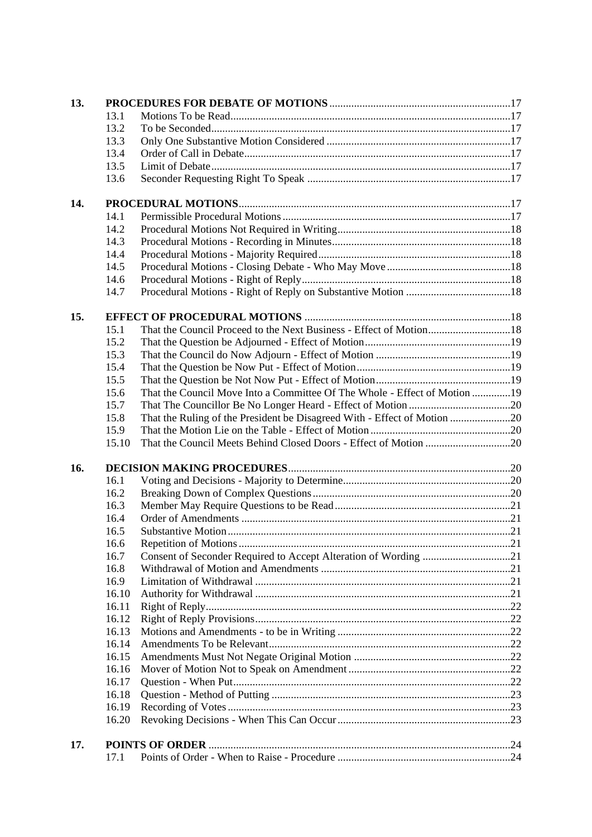| 13. |       |                                                                           |  |  |
|-----|-------|---------------------------------------------------------------------------|--|--|
|     | 13.1  |                                                                           |  |  |
|     | 13.2  |                                                                           |  |  |
|     | 13.3  |                                                                           |  |  |
|     | 13.4  |                                                                           |  |  |
|     | 13.5  |                                                                           |  |  |
|     | 13.6  |                                                                           |  |  |
| 14. |       |                                                                           |  |  |
|     | 14.1  |                                                                           |  |  |
|     | 14.2  |                                                                           |  |  |
|     | 14.3  |                                                                           |  |  |
|     | 14.4  |                                                                           |  |  |
|     | 14.5  |                                                                           |  |  |
|     | 14.6  |                                                                           |  |  |
|     | 14.7  |                                                                           |  |  |
| 15. |       |                                                                           |  |  |
|     | 15.1  | That the Council Proceed to the Next Business - Effect of Motion18        |  |  |
|     | 15.2  |                                                                           |  |  |
|     | 15.3  |                                                                           |  |  |
|     | 15.4  |                                                                           |  |  |
|     | 15.5  |                                                                           |  |  |
|     | 15.6  | That the Council Move Into a Committee Of The Whole - Effect of Motion 19 |  |  |
|     | 15.7  |                                                                           |  |  |
|     | 15.8  | That the Ruling of the President be Disagreed With - Effect of Motion 20  |  |  |
|     | 15.9  |                                                                           |  |  |
|     | 15.10 |                                                                           |  |  |
| 16. |       |                                                                           |  |  |
|     | 16.1  |                                                                           |  |  |
|     | 16.2  |                                                                           |  |  |
|     | 16.3  |                                                                           |  |  |
|     | 16.4  |                                                                           |  |  |
|     | 16.5  |                                                                           |  |  |
|     | 16.6  |                                                                           |  |  |
|     | 16.7  |                                                                           |  |  |
|     | 16.8  |                                                                           |  |  |
|     | 16.9  |                                                                           |  |  |
|     | 16.10 |                                                                           |  |  |
|     | 16.11 |                                                                           |  |  |
|     | 16.12 |                                                                           |  |  |
|     | 16.13 |                                                                           |  |  |
|     | 16.14 |                                                                           |  |  |
|     | 16.15 |                                                                           |  |  |
|     | 16.16 |                                                                           |  |  |
|     | 16.17 |                                                                           |  |  |
|     | 16.18 |                                                                           |  |  |
|     | 16.19 |                                                                           |  |  |
|     | 16.20 |                                                                           |  |  |
| 17. |       |                                                                           |  |  |
|     | 17.1  |                                                                           |  |  |
|     |       |                                                                           |  |  |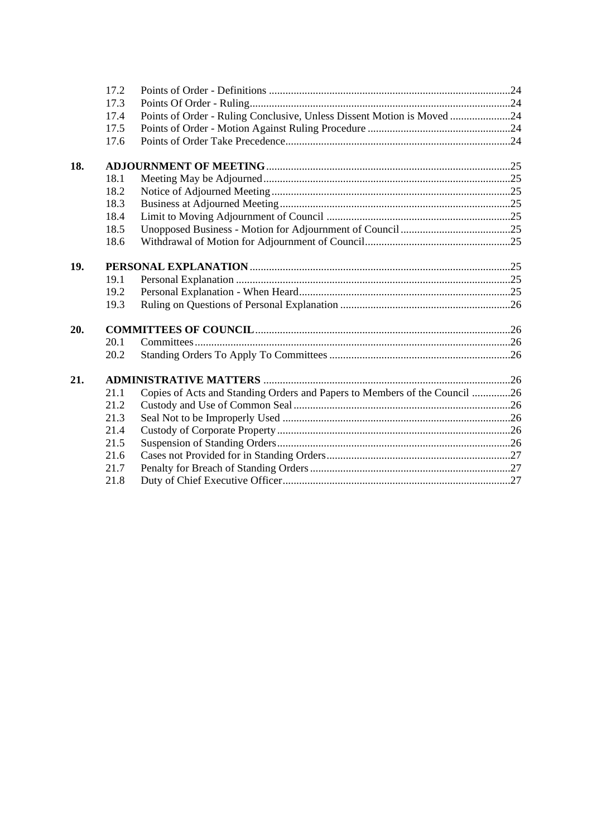|     | 17.2 |                                                                            |  |
|-----|------|----------------------------------------------------------------------------|--|
|     | 17.3 |                                                                            |  |
|     | 17.4 | Points of Order - Ruling Conclusive, Unless Dissent Motion is Moved 24     |  |
|     | 17.5 |                                                                            |  |
|     | 17.6 |                                                                            |  |
| 18. |      |                                                                            |  |
|     | 18.1 |                                                                            |  |
|     | 18.2 |                                                                            |  |
|     | 18.3 |                                                                            |  |
|     | 18.4 |                                                                            |  |
|     | 18.5 |                                                                            |  |
|     | 18.6 |                                                                            |  |
| 19. |      |                                                                            |  |
|     | 19.1 |                                                                            |  |
|     | 19.2 |                                                                            |  |
|     | 19.3 |                                                                            |  |
| 20. |      |                                                                            |  |
|     | 20.1 |                                                                            |  |
|     | 20.2 |                                                                            |  |
| 21. |      |                                                                            |  |
|     | 21.1 | Copies of Acts and Standing Orders and Papers to Members of the Council 26 |  |
|     | 21.2 |                                                                            |  |
|     | 21.3 |                                                                            |  |
|     | 21.4 |                                                                            |  |
|     | 21.5 |                                                                            |  |
|     | 21.6 |                                                                            |  |
|     | 21.7 |                                                                            |  |
|     | 21.8 |                                                                            |  |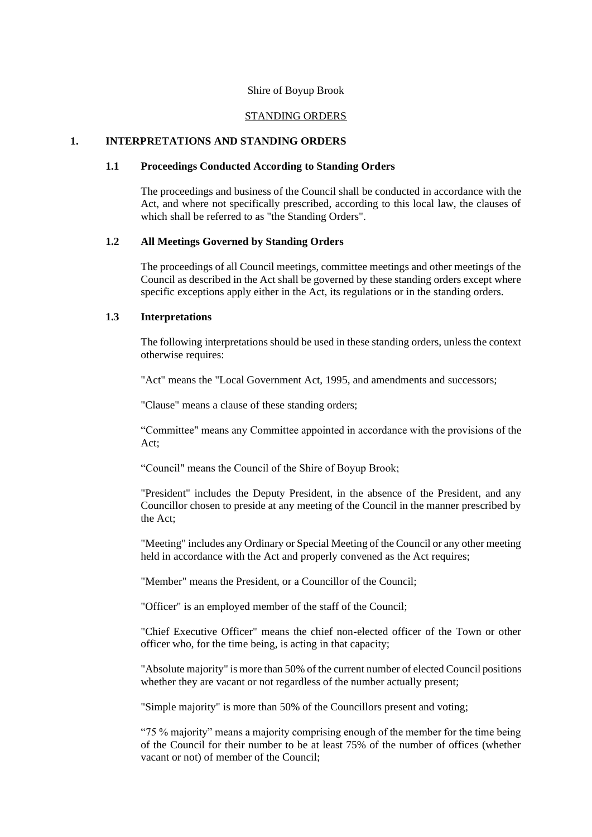#### Shire of Boyup Brook

## STANDING ORDERS

#### **1. INTERPRETATIONS AND STANDING ORDERS**

## **1.1 Proceedings Conducted According to Standing Orders**

The proceedings and business of the Council shall be conducted in accordance with the Act, and where not specifically prescribed, according to this local law, the clauses of which shall be referred to as "the Standing Orders".

#### **1.2 All Meetings Governed by Standing Orders**

The proceedings of all Council meetings, committee meetings and other meetings of the Council as described in the Act shall be governed by these standing orders except where specific exceptions apply either in the Act, its regulations or in the standing orders.

## **1.3 Interpretations**

The following interpretations should be used in these standing orders, unless the context otherwise requires:

"Act" means the "Local Government Act, 1995, and amendments and successors;

"Clause" means a clause of these standing orders;

"Committee" means any Committee appointed in accordance with the provisions of the Act;

"Council" means the Council of the Shire of Boyup Brook;

"President" includes the Deputy President, in the absence of the President, and any Councillor chosen to preside at any meeting of the Council in the manner prescribed by the Act;

"Meeting" includes any Ordinary or Special Meeting of the Council or any other meeting held in accordance with the Act and properly convened as the Act requires;

"Member" means the President, or a Councillor of the Council;

"Officer" is an employed member of the staff of the Council;

"Chief Executive Officer" means the chief non-elected officer of the Town or other officer who, for the time being, is acting in that capacity;

"Absolute majority" is more than 50% of the current number of elected Council positions whether they are vacant or not regardless of the number actually present;

"Simple majority" is more than 50% of the Councillors present and voting;

"75 % majority" means a majority comprising enough of the member for the time being of the Council for their number to be at least 75% of the number of offices (whether vacant or not) of member of the Council;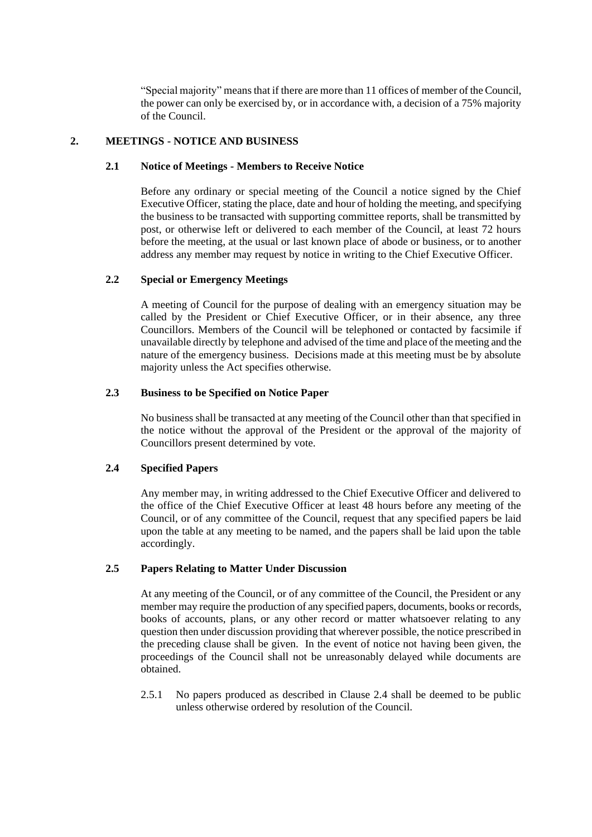"Special majority" means that if there are more than 11 offices of member of the Council, the power can only be exercised by, or in accordance with, a decision of a 75% majority of the Council.

## **2. MEETINGS - NOTICE AND BUSINESS**

## **2.1 Notice of Meetings - Members to Receive Notice**

Before any ordinary or special meeting of the Council a notice signed by the Chief Executive Officer, stating the place, date and hour of holding the meeting, and specifying the business to be transacted with supporting committee reports, shall be transmitted by post, or otherwise left or delivered to each member of the Council, at least 72 hours before the meeting, at the usual or last known place of abode or business, or to another address any member may request by notice in writing to the Chief Executive Officer.

## **2.2 Special or Emergency Meetings**

A meeting of Council for the purpose of dealing with an emergency situation may be called by the President or Chief Executive Officer, or in their absence, any three Councillors. Members of the Council will be telephoned or contacted by facsimile if unavailable directly by telephone and advised of the time and place of the meeting and the nature of the emergency business. Decisions made at this meeting must be by absolute majority unless the Act specifies otherwise.

## **2.3 Business to be Specified on Notice Paper**

No business shall be transacted at any meeting of the Council other than that specified in the notice without the approval of the President or the approval of the majority of Councillors present determined by vote.

## **2.4 Specified Papers**

Any member may, in writing addressed to the Chief Executive Officer and delivered to the office of the Chief Executive Officer at least 48 hours before any meeting of the Council, or of any committee of the Council, request that any specified papers be laid upon the table at any meeting to be named, and the papers shall be laid upon the table accordingly.

## **2.5 Papers Relating to Matter Under Discussion**

At any meeting of the Council, or of any committee of the Council, the President or any member may require the production of any specified papers, documents, books or records, books of accounts, plans, or any other record or matter whatsoever relating to any question then under discussion providing that wherever possible, the notice prescribed in the preceding clause shall be given. In the event of notice not having been given, the proceedings of the Council shall not be unreasonably delayed while documents are obtained.

2.5.1 No papers produced as described in Clause 2.4 shall be deemed to be public unless otherwise ordered by resolution of the Council.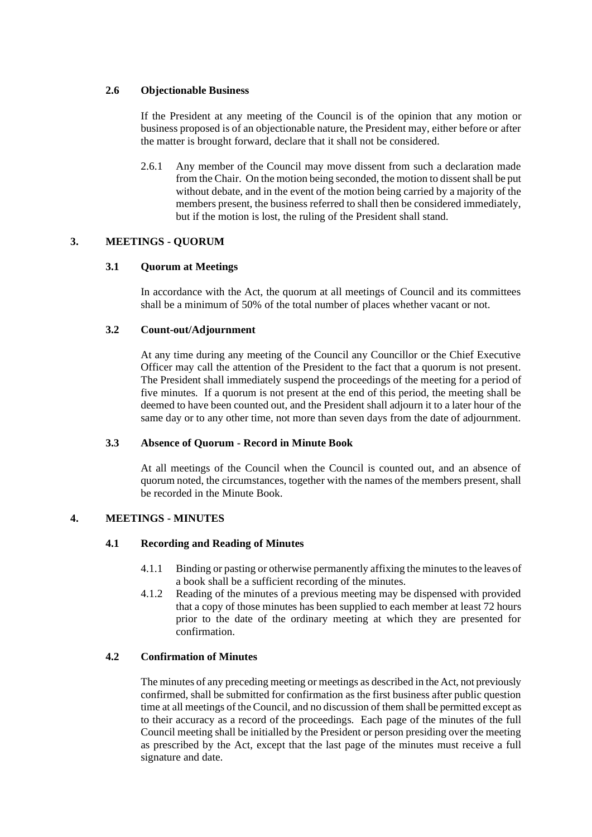## **2.6 Objectionable Business**

If the President at any meeting of the Council is of the opinion that any motion or business proposed is of an objectionable nature, the President may, either before or after the matter is brought forward, declare that it shall not be considered.

2.6.1 Any member of the Council may move dissent from such a declaration made from the Chair. On the motion being seconded, the motion to dissent shall be put without debate, and in the event of the motion being carried by a majority of the members present, the business referred to shall then be considered immediately, but if the motion is lost, the ruling of the President shall stand.

## **3. MEETINGS - QUORUM**

## **3.1 Quorum at Meetings**

In accordance with the Act, the quorum at all meetings of Council and its committees shall be a minimum of 50% of the total number of places whether vacant or not.

## **3.2 Count-out/Adjournment**

At any time during any meeting of the Council any Councillor or the Chief Executive Officer may call the attention of the President to the fact that a quorum is not present. The President shall immediately suspend the proceedings of the meeting for a period of five minutes. If a quorum is not present at the end of this period, the meeting shall be deemed to have been counted out, and the President shall adjourn it to a later hour of the same day or to any other time, not more than seven days from the date of adjournment.

## **3.3 Absence of Quorum - Record in Minute Book**

At all meetings of the Council when the Council is counted out, and an absence of quorum noted, the circumstances, together with the names of the members present, shall be recorded in the Minute Book.

## **4. MEETINGS - MINUTES**

## **4.1 Recording and Reading of Minutes**

- 4.1.1 Binding or pasting or otherwise permanently affixing the minutes to the leaves of a book shall be a sufficient recording of the minutes.
- 4.1.2 Reading of the minutes of a previous meeting may be dispensed with provided that a copy of those minutes has been supplied to each member at least 72 hours prior to the date of the ordinary meeting at which they are presented for confirmation.

## **4.2 Confirmation of Minutes**

The minutes of any preceding meeting or meetings as described in the Act, not previously confirmed, shall be submitted for confirmation as the first business after public question time at all meetings of the Council, and no discussion of them shall be permitted except as to their accuracy as a record of the proceedings. Each page of the minutes of the full Council meeting shall be initialled by the President or person presiding over the meeting as prescribed by the Act, except that the last page of the minutes must receive a full signature and date.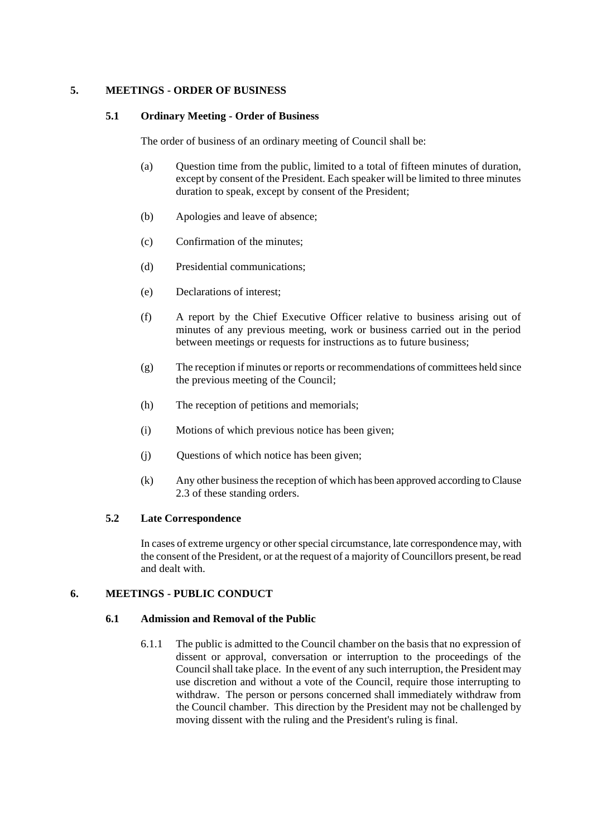## **5. MEETINGS - ORDER OF BUSINESS**

## **5.1 Ordinary Meeting - Order of Business**

The order of business of an ordinary meeting of Council shall be:

- (a) Question time from the public, limited to a total of fifteen minutes of duration, except by consent of the President. Each speaker will be limited to three minutes duration to speak, except by consent of the President;
- (b) Apologies and leave of absence;
- (c) Confirmation of the minutes;
- (d) Presidential communications;
- (e) Declarations of interest;
- (f) A report by the Chief Executive Officer relative to business arising out of minutes of any previous meeting, work or business carried out in the period between meetings or requests for instructions as to future business;
- (g) The reception if minutes or reports or recommendations of committees held since the previous meeting of the Council;
- (h) The reception of petitions and memorials;
- (i) Motions of which previous notice has been given;
- (j) Questions of which notice has been given;
- (k) Any other business the reception of which has been approved according to Clause 2.3 of these standing orders.

## **5.2 Late Correspondence**

In cases of extreme urgency or other special circumstance, late correspondence may, with the consent of the President, or at the request of a majority of Councillors present, be read and dealt with.

## **6. MEETINGS - PUBLIC CONDUCT**

## **6.1 Admission and Removal of the Public**

6.1.1 The public is admitted to the Council chamber on the basis that no expression of dissent or approval, conversation or interruption to the proceedings of the Council shall take place. In the event of any such interruption, the President may use discretion and without a vote of the Council, require those interrupting to withdraw. The person or persons concerned shall immediately withdraw from the Council chamber. This direction by the President may not be challenged by moving dissent with the ruling and the President's ruling is final.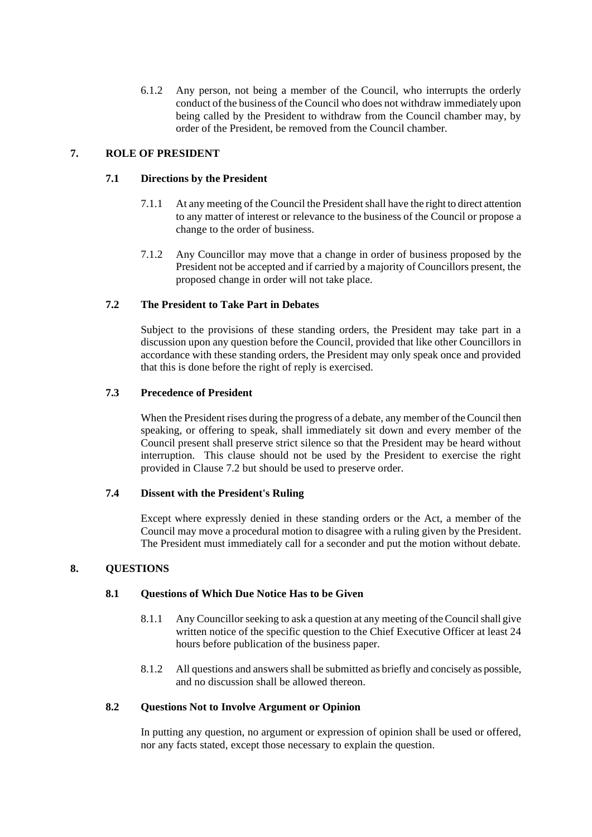6.1.2 Any person, not being a member of the Council, who interrupts the orderly conduct of the business of the Council who does not withdraw immediately upon being called by the President to withdraw from the Council chamber may, by order of the President, be removed from the Council chamber.

## **7. ROLE OF PRESIDENT**

## **7.1 Directions by the President**

- 7.1.1 At any meeting of the Council the President shall have the right to direct attention to any matter of interest or relevance to the business of the Council or propose a change to the order of business.
- 7.1.2 Any Councillor may move that a change in order of business proposed by the President not be accepted and if carried by a majority of Councillors present, the proposed change in order will not take place.

## **7.2 The President to Take Part in Debates**

Subject to the provisions of these standing orders, the President may take part in a discussion upon any question before the Council, provided that like other Councillors in accordance with these standing orders, the President may only speak once and provided that this is done before the right of reply is exercised.

## **7.3 Precedence of President**

When the President rises during the progress of a debate, any member of the Council then speaking, or offering to speak, shall immediately sit down and every member of the Council present shall preserve strict silence so that the President may be heard without interruption. This clause should not be used by the President to exercise the right provided in Clause 7.2 but should be used to preserve order.

## **7.4 Dissent with the President's Ruling**

Except where expressly denied in these standing orders or the Act, a member of the Council may move a procedural motion to disagree with a ruling given by the President. The President must immediately call for a seconder and put the motion without debate.

## **8. QUESTIONS**

## **8.1 Questions of Which Due Notice Has to be Given**

- 8.1.1 Any Councillor seeking to ask a question at any meeting of the Council shall give written notice of the specific question to the Chief Executive Officer at least 24 hours before publication of the business paper.
- 8.1.2 All questions and answers shall be submitted as briefly and concisely as possible, and no discussion shall be allowed thereon.

## **8.2 Questions Not to Involve Argument or Opinion**

In putting any question, no argument or expression of opinion shall be used or offered, nor any facts stated, except those necessary to explain the question.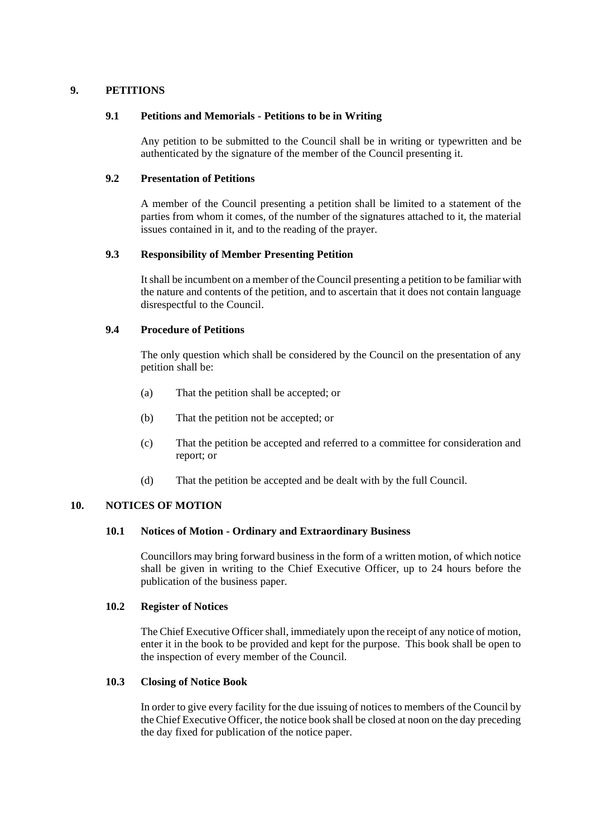## **9. PETITIONS**

## **9.1 Petitions and Memorials - Petitions to be in Writing**

Any petition to be submitted to the Council shall be in writing or typewritten and be authenticated by the signature of the member of the Council presenting it.

## **9.2 Presentation of Petitions**

A member of the Council presenting a petition shall be limited to a statement of the parties from whom it comes, of the number of the signatures attached to it, the material issues contained in it, and to the reading of the prayer.

#### **9.3 Responsibility of Member Presenting Petition**

It shall be incumbent on a member of the Council presenting a petition to be familiar with the nature and contents of the petition, and to ascertain that it does not contain language disrespectful to the Council.

## **9.4 Procedure of Petitions**

The only question which shall be considered by the Council on the presentation of any petition shall be:

- (a) That the petition shall be accepted; or
- (b) That the petition not be accepted; or
- (c) That the petition be accepted and referred to a committee for consideration and report; or
- (d) That the petition be accepted and be dealt with by the full Council.

## **10. NOTICES OF MOTION**

#### **10.1 Notices of Motion - Ordinary and Extraordinary Business**

Councillors may bring forward business in the form of a written motion, of which notice shall be given in writing to the Chief Executive Officer, up to 24 hours before the publication of the business paper.

#### **10.2 Register of Notices**

The Chief Executive Officer shall, immediately upon the receipt of any notice of motion, enter it in the book to be provided and kept for the purpose. This book shall be open to the inspection of every member of the Council.

## **10.3 Closing of Notice Book**

In order to give every facility for the due issuing of notices to members of the Council by the Chief Executive Officer, the notice book shall be closed at noon on the day preceding the day fixed for publication of the notice paper.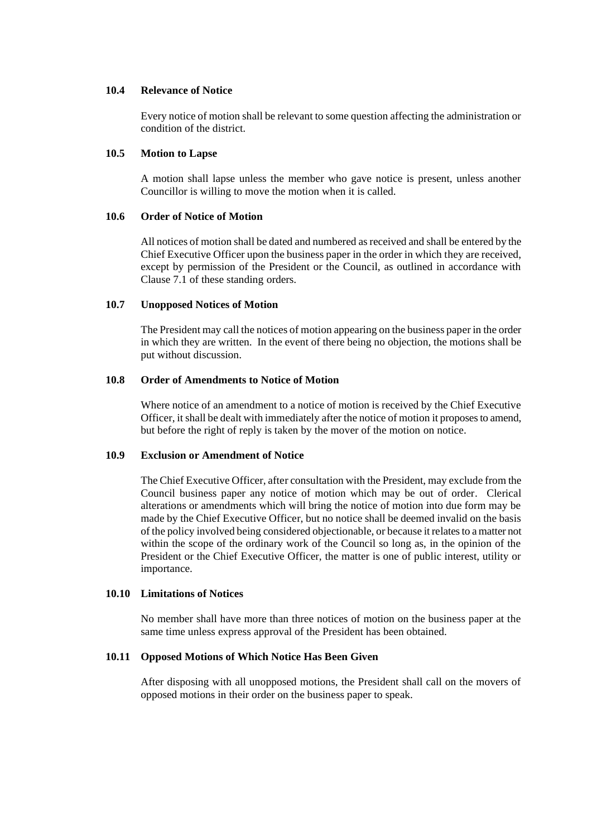#### **10.4 Relevance of Notice**

Every notice of motion shall be relevant to some question affecting the administration or condition of the district.

#### **10.5 Motion to Lapse**

A motion shall lapse unless the member who gave notice is present, unless another Councillor is willing to move the motion when it is called.

## **10.6 Order of Notice of Motion**

All notices of motion shall be dated and numbered as received and shall be entered by the Chief Executive Officer upon the business paper in the order in which they are received, except by permission of the President or the Council, as outlined in accordance with Clause 7.1 of these standing orders.

#### **10.7 Unopposed Notices of Motion**

The President may call the notices of motion appearing on the business paper in the order in which they are written. In the event of there being no objection, the motions shall be put without discussion.

## **10.8 Order of Amendments to Notice of Motion**

Where notice of an amendment to a notice of motion is received by the Chief Executive Officer, it shall be dealt with immediately after the notice of motion it proposes to amend, but before the right of reply is taken by the mover of the motion on notice.

#### **10.9 Exclusion or Amendment of Notice**

The Chief Executive Officer, after consultation with the President, may exclude from the Council business paper any notice of motion which may be out of order. Clerical alterations or amendments which will bring the notice of motion into due form may be made by the Chief Executive Officer, but no notice shall be deemed invalid on the basis of the policy involved being considered objectionable, or because it relates to a matter not within the scope of the ordinary work of the Council so long as, in the opinion of the President or the Chief Executive Officer, the matter is one of public interest, utility or importance.

#### **10.10 Limitations of Notices**

No member shall have more than three notices of motion on the business paper at the same time unless express approval of the President has been obtained.

## **10.11 Opposed Motions of Which Notice Has Been Given**

After disposing with all unopposed motions, the President shall call on the movers of opposed motions in their order on the business paper to speak.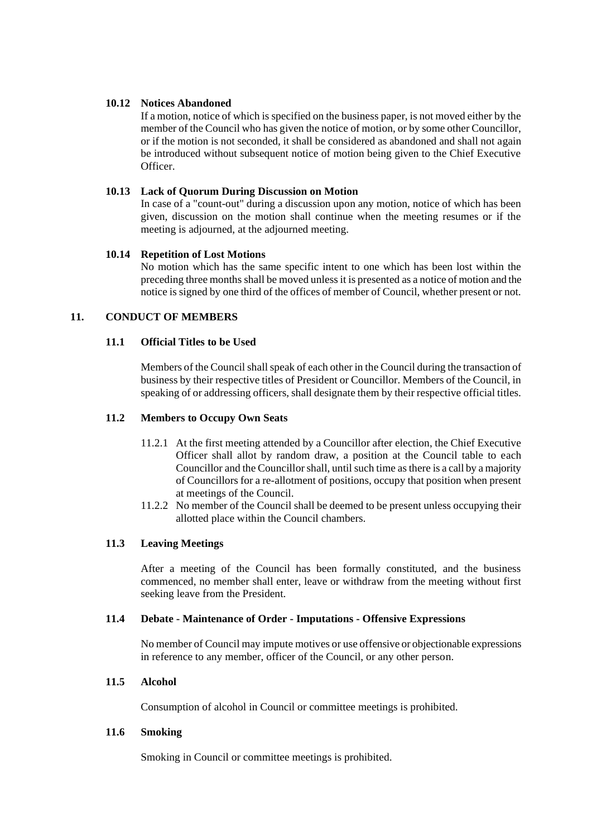## **10.12 Notices Abandoned**

If a motion, notice of which is specified on the business paper, is not moved either by the member of the Council who has given the notice of motion, or by some other Councillor, or if the motion is not seconded, it shall be considered as abandoned and shall not again be introduced without subsequent notice of motion being given to the Chief Executive Officer.

## **10.13 Lack of Quorum During Discussion on Motion**

In case of a "count-out" during a discussion upon any motion, notice of which has been given, discussion on the motion shall continue when the meeting resumes or if the meeting is adjourned, at the adjourned meeting.

## **10.14 Repetition of Lost Motions**

No motion which has the same specific intent to one which has been lost within the preceding three months shall be moved unless it is presented as a notice of motion and the notice is signed by one third of the offices of member of Council, whether present or not*.*

## **11. CONDUCT OF MEMBERS**

## **11.1 Official Titles to be Used**

Members of the Council shall speak of each other in the Council during the transaction of business by their respective titles of President or Councillor. Members of the Council, in speaking of or addressing officers, shall designate them by their respective official titles.

## **11.2 Members to Occupy Own Seats**

- 11.2.1 At the first meeting attended by a Councillor after election, the Chief Executive Officer shall allot by random draw, a position at the Council table to each Councillor and the Councillor shall, until such time as there is a call by a majority of Councillors for a re-allotment of positions, occupy that position when present at meetings of the Council.
- 11.2.2 No member of the Council shall be deemed to be present unless occupying their allotted place within the Council chambers.

## **11.3 Leaving Meetings**

After a meeting of the Council has been formally constituted, and the business commenced, no member shall enter, leave or withdraw from the meeting without first seeking leave from the President.

## **11.4 Debate - Maintenance of Order - Imputations - Offensive Expressions**

No member of Council may impute motives or use offensive or objectionable expressions in reference to any member, officer of the Council, or any other person.

## **11.5 Alcohol**

Consumption of alcohol in Council or committee meetings is prohibited.

## **11.6 Smoking**

Smoking in Council or committee meetings is prohibited.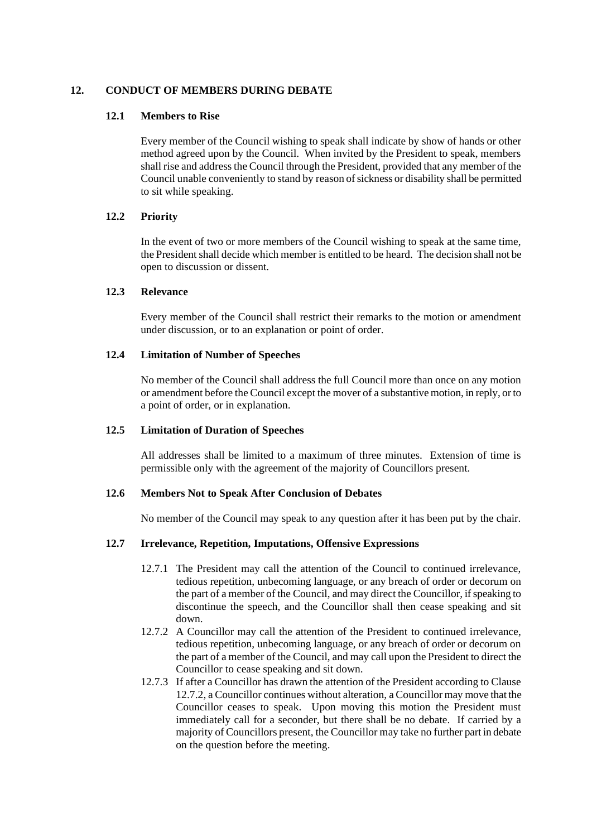## **12. CONDUCT OF MEMBERS DURING DEBATE**

## **12.1 Members to Rise**

Every member of the Council wishing to speak shall indicate by show of hands or other method agreed upon by the Council. When invited by the President to speak, members shall rise and address the Council through the President, provided that any member of the Council unable conveniently to stand by reason of sickness or disability shall be permitted to sit while speaking.

## **12.2 Priority**

In the event of two or more members of the Council wishing to speak at the same time, the President shall decide which member is entitled to be heard. The decision shall not be open to discussion or dissent.

## **12.3 Relevance**

Every member of the Council shall restrict their remarks to the motion or amendment under discussion, or to an explanation or point of order.

## **12.4 Limitation of Number of Speeches**

No member of the Council shall address the full Council more than once on any motion or amendment before the Council except the mover of a substantive motion, in reply, or to a point of order, or in explanation.

## **12.5 Limitation of Duration of Speeches**

All addresses shall be limited to a maximum of three minutes. Extension of time is permissible only with the agreement of the majority of Councillors present.

## **12.6 Members Not to Speak After Conclusion of Debates**

No member of the Council may speak to any question after it has been put by the chair.

## **12.7 Irrelevance, Repetition, Imputations, Offensive Expressions**

- 12.7.1 The President may call the attention of the Council to continued irrelevance, tedious repetition, unbecoming language, or any breach of order or decorum on the part of a member of the Council, and may direct the Councillor, if speaking to discontinue the speech, and the Councillor shall then cease speaking and sit down.
- 12.7.2 A Councillor may call the attention of the President to continued irrelevance, tedious repetition, unbecoming language, or any breach of order or decorum on the part of a member of the Council, and may call upon the President to direct the Councillor to cease speaking and sit down.
- 12.7.3 If after a Councillor has drawn the attention of the President according to Clause 12.7.2, a Councillor continues without alteration, a Councillor may move that the Councillor ceases to speak. Upon moving this motion the President must immediately call for a seconder, but there shall be no debate. If carried by a majority of Councillors present, the Councillor may take no further part in debate on the question before the meeting.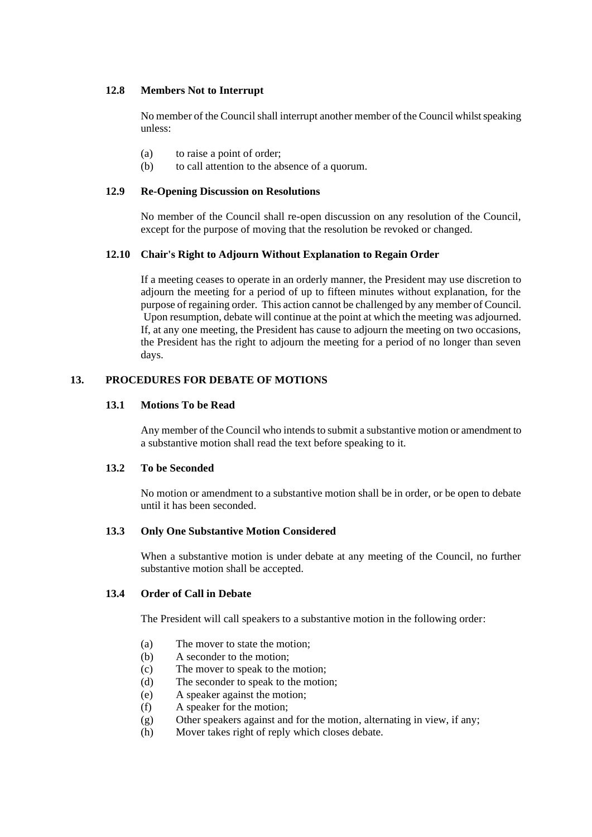## **12.8 Members Not to Interrupt**

No member of the Council shall interrupt another member of the Council whilst speaking unless:

- (a) to raise a point of order;
- (b) to call attention to the absence of a quorum.

## **12.9 Re-Opening Discussion on Resolutions**

No member of the Council shall re-open discussion on any resolution of the Council, except for the purpose of moving that the resolution be revoked or changed.

## **12.10 Chair's Right to Adjourn Without Explanation to Regain Order**

If a meeting ceases to operate in an orderly manner, the President may use discretion to adjourn the meeting for a period of up to fifteen minutes without explanation, for the purpose of regaining order. This action cannot be challenged by any member of Council. Upon resumption, debate will continue at the point at which the meeting was adjourned. If, at any one meeting, the President has cause to adjourn the meeting on two occasions, the President has the right to adjourn the meeting for a period of no longer than seven days.

## **13. PROCEDURES FOR DEBATE OF MOTIONS**

## **13.1 Motions To be Read**

Any member of the Council who intends to submit a substantive motion or amendment to a substantive motion shall read the text before speaking to it.

## **13.2 To be Seconded**

No motion or amendment to a substantive motion shall be in order, or be open to debate until it has been seconded.

## **13.3 Only One Substantive Motion Considered**

When a substantive motion is under debate at any meeting of the Council, no further substantive motion shall be accepted.

## **13.4 Order of Call in Debate**

The President will call speakers to a substantive motion in the following order:

- (a) The mover to state the motion;
- (b) A seconder to the motion;
- (c) The mover to speak to the motion;
- (d) The seconder to speak to the motion;
- (e) A speaker against the motion;
- (f) A speaker for the motion;
- (g) Other speakers against and for the motion, alternating in view, if any;
- (h) Mover takes right of reply which closes debate.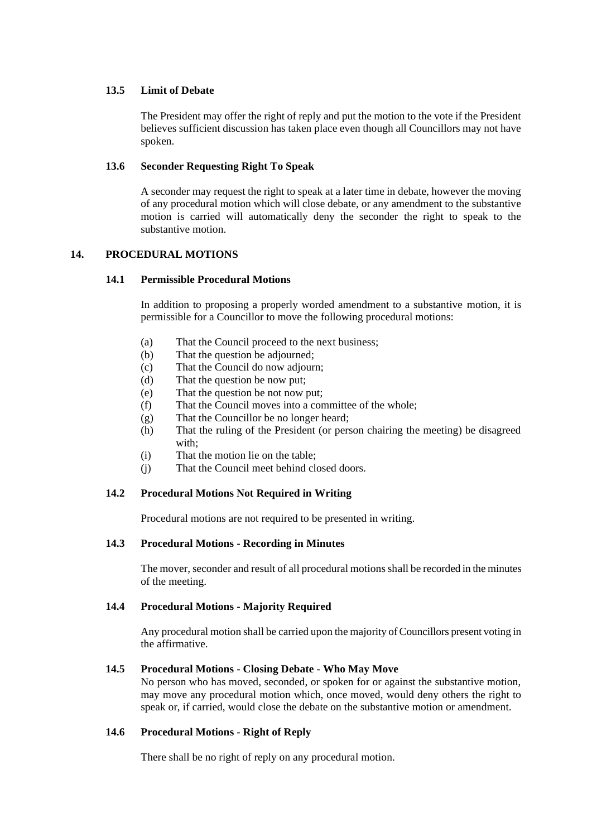## **13.5 Limit of Debate**

The President may offer the right of reply and put the motion to the vote if the President believes sufficient discussion has taken place even though all Councillors may not have spoken.

## **13.6 Seconder Requesting Right To Speak**

A seconder may request the right to speak at a later time in debate, however the moving of any procedural motion which will close debate, or any amendment to the substantive motion is carried will automatically deny the seconder the right to speak to the substantive motion.

## **14. PROCEDURAL MOTIONS**

## **14.1 Permissible Procedural Motions**

In addition to proposing a properly worded amendment to a substantive motion, it is permissible for a Councillor to move the following procedural motions:

- (a) That the Council proceed to the next business;
- (b) That the question be adjourned;
- (c) That the Council do now adjourn;
- (d) That the question be now put;
- (e) That the question be not now put;
- (f) That the Council moves into a committee of the whole;
- (g) That the Councillor be no longer heard;
- (h) That the ruling of the President (or person chairing the meeting) be disagreed with<sup>.</sup>
- (i) That the motion lie on the table;
- (j) That the Council meet behind closed doors.

## **14.2 Procedural Motions Not Required in Writing**

Procedural motions are not required to be presented in writing.

## **14.3 Procedural Motions - Recording in Minutes**

The mover, seconder and result of all procedural motions shall be recorded in the minutes of the meeting.

## **14.4 Procedural Motions - Majority Required**

Any procedural motion shall be carried upon the majority of Councillors present voting in the affirmative.

## **14.5 Procedural Motions - Closing Debate - Who May Move**

No person who has moved, seconded, or spoken for or against the substantive motion, may move any procedural motion which, once moved, would deny others the right to speak or, if carried, would close the debate on the substantive motion or amendment.

## **14.6 Procedural Motions - Right of Reply**

There shall be no right of reply on any procedural motion.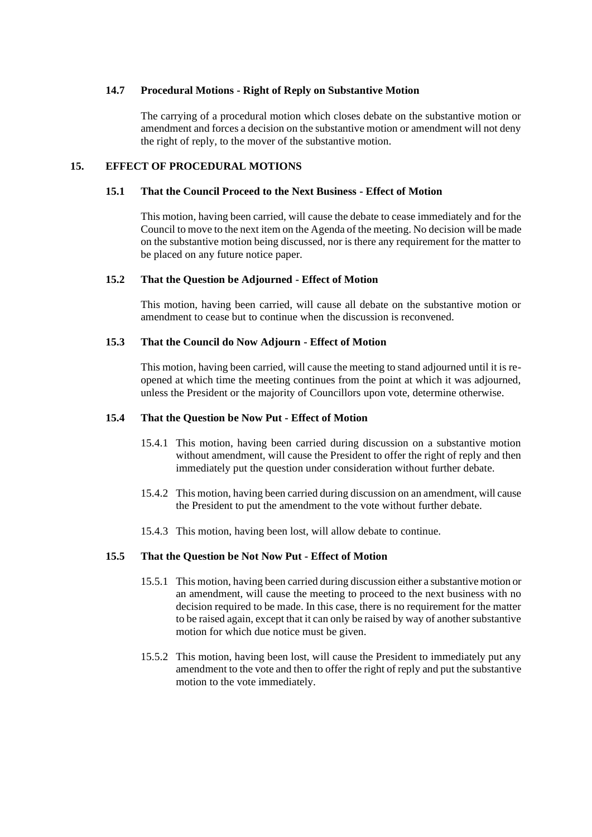## **14.7 Procedural Motions - Right of Reply on Substantive Motion**

The carrying of a procedural motion which closes debate on the substantive motion or amendment and forces a decision on the substantive motion or amendment will not deny the right of reply, to the mover of the substantive motion.

## **15. EFFECT OF PROCEDURAL MOTIONS**

## **15.1 That the Council Proceed to the Next Business - Effect of Motion**

This motion, having been carried, will cause the debate to cease immediately and for the Council to move to the next item on the Agenda of the meeting. No decision will be made on the substantive motion being discussed, nor is there any requirement for the matter to be placed on any future notice paper.

#### **15.2 That the Question be Adjourned - Effect of Motion**

This motion, having been carried, will cause all debate on the substantive motion or amendment to cease but to continue when the discussion is reconvened.

## **15.3 That the Council do Now Adjourn - Effect of Motion**

This motion, having been carried, will cause the meeting to stand adjourned until it is reopened at which time the meeting continues from the point at which it was adjourned, unless the President or the majority of Councillors upon vote, determine otherwise.

#### **15.4 That the Question be Now Put - Effect of Motion**

- 15.4.1 This motion, having been carried during discussion on a substantive motion without amendment, will cause the President to offer the right of reply and then immediately put the question under consideration without further debate.
- 15.4.2 This motion, having been carried during discussion on an amendment, will cause the President to put the amendment to the vote without further debate.
- 15.4.3 This motion, having been lost, will allow debate to continue.

## **15.5 That the Question be Not Now Put - Effect of Motion**

- 15.5.1 This motion, having been carried during discussion either a substantive motion or an amendment, will cause the meeting to proceed to the next business with no decision required to be made. In this case, there is no requirement for the matter to be raised again, except that it can only be raised by way of another substantive motion for which due notice must be given.
- 15.5.2 This motion, having been lost, will cause the President to immediately put any amendment to the vote and then to offer the right of reply and put the substantive motion to the vote immediately.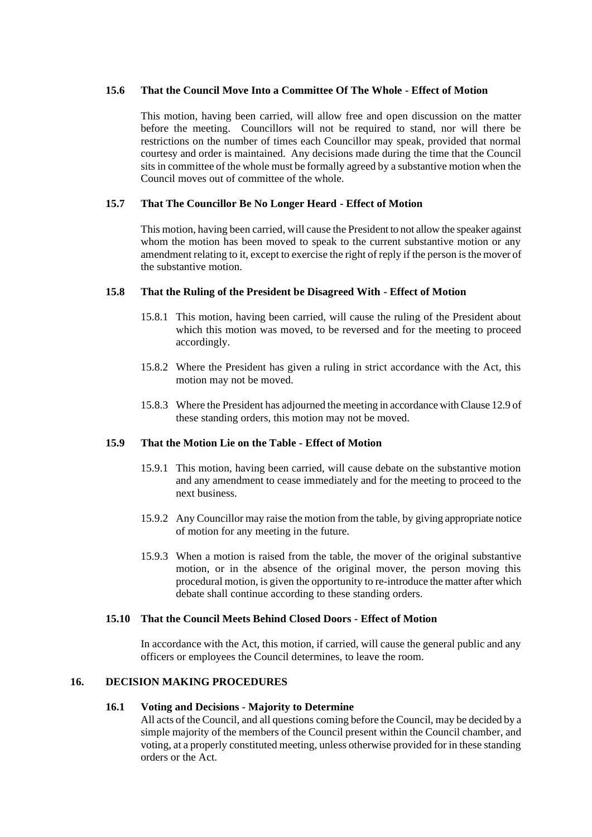## **15.6 That the Council Move Into a Committee Of The Whole - Effect of Motion**

This motion, having been carried, will allow free and open discussion on the matter before the meeting. Councillors will not be required to stand, nor will there be restrictions on the number of times each Councillor may speak, provided that normal courtesy and order is maintained. Any decisions made during the time that the Council sits in committee of the whole must be formally agreed by a substantive motion when the Council moves out of committee of the whole.

## **15.7 That The Councillor Be No Longer Heard - Effect of Motion**

This motion, having been carried, will cause the President to not allow the speaker against whom the motion has been moved to speak to the current substantive motion or any amendment relating to it, except to exercise the right of reply if the person is the mover of the substantive motion.

## **15.8 That the Ruling of the President be Disagreed With - Effect of Motion**

- 15.8.1 This motion, having been carried, will cause the ruling of the President about which this motion was moved, to be reversed and for the meeting to proceed accordingly.
- 15.8.2 Where the President has given a ruling in strict accordance with the Act, this motion may not be moved.
- 15.8.3 Where the President has adjourned the meeting in accordance with Clause 12.9 of these standing orders, this motion may not be moved.

## **15.9 That the Motion Lie on the Table - Effect of Motion**

- 15.9.1 This motion, having been carried, will cause debate on the substantive motion and any amendment to cease immediately and for the meeting to proceed to the next business.
- 15.9.2 Any Councillor may raise the motion from the table, by giving appropriate notice of motion for any meeting in the future.
- 15.9.3 When a motion is raised from the table, the mover of the original substantive motion, or in the absence of the original mover, the person moving this procedural motion, is given the opportunity to re-introduce the matter after which debate shall continue according to these standing orders.

## **15.10 That the Council Meets Behind Closed Doors - Effect of Motion**

In accordance with the Act, this motion, if carried, will cause the general public and any officers or employees the Council determines, to leave the room.

## **16. DECISION MAKING PROCEDURES**

## **16.1 Voting and Decisions - Majority to Determine**

All acts of the Council, and all questions coming before the Council, may be decided by a simple majority of the members of the Council present within the Council chamber, and voting, at a properly constituted meeting, unless otherwise provided for in these standing orders or the Act.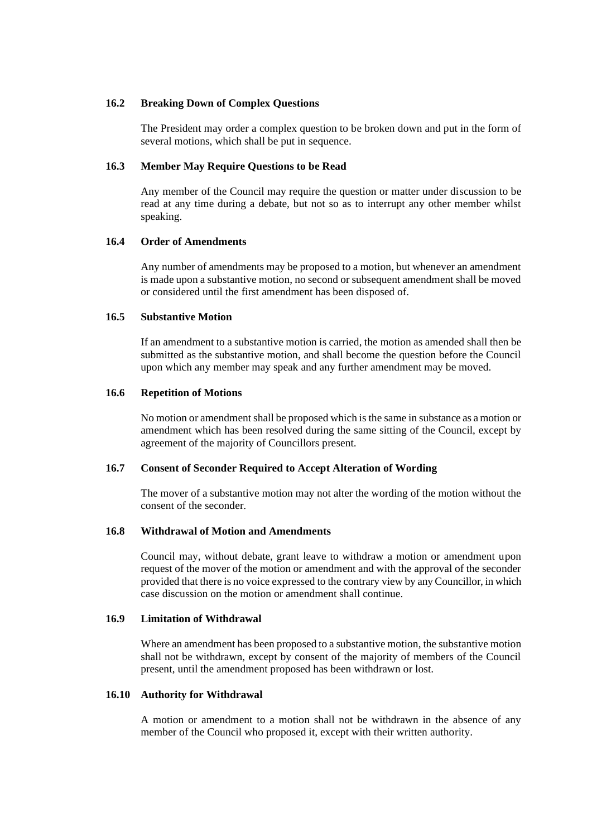### **16.2 Breaking Down of Complex Questions**

The President may order a complex question to be broken down and put in the form of several motions, which shall be put in sequence.

#### **16.3 Member May Require Questions to be Read**

Any member of the Council may require the question or matter under discussion to be read at any time during a debate, but not so as to interrupt any other member whilst speaking.

#### **16.4 Order of Amendments**

Any number of amendments may be proposed to a motion, but whenever an amendment is made upon a substantive motion, no second or subsequent amendment shall be moved or considered until the first amendment has been disposed of.

#### **16.5 Substantive Motion**

If an amendment to a substantive motion is carried, the motion as amended shall then be submitted as the substantive motion, and shall become the question before the Council upon which any member may speak and any further amendment may be moved.

#### **16.6 Repetition of Motions**

No motion or amendment shall be proposed which is the same in substance as a motion or amendment which has been resolved during the same sitting of the Council, except by agreement of the majority of Councillors present.

## **16.7 Consent of Seconder Required to Accept Alteration of Wording**

The mover of a substantive motion may not alter the wording of the motion without the consent of the seconder.

#### **16.8 Withdrawal of Motion and Amendments**

Council may, without debate, grant leave to withdraw a motion or amendment upon request of the mover of the motion or amendment and with the approval of the seconder provided that there is no voice expressed to the contrary view by any Councillor, in which case discussion on the motion or amendment shall continue.

#### **16.9 Limitation of Withdrawal**

Where an amendment has been proposed to a substantive motion, the substantive motion shall not be withdrawn, except by consent of the majority of members of the Council present, until the amendment proposed has been withdrawn or lost.

#### **16.10 Authority for Withdrawal**

A motion or amendment to a motion shall not be withdrawn in the absence of any member of the Council who proposed it, except with their written authority.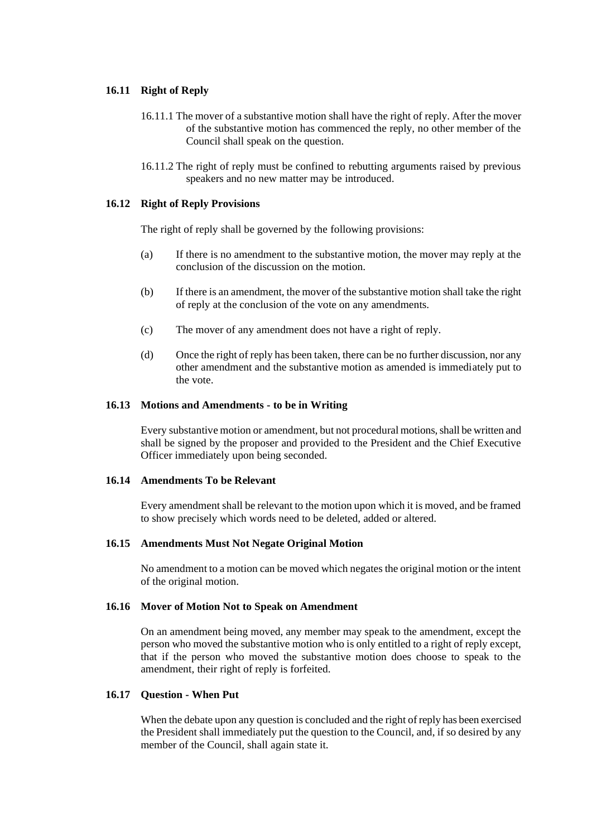## **16.11 Right of Reply**

- 16.11.1 The mover of a substantive motion shall have the right of reply. After the mover of the substantive motion has commenced the reply, no other member of the Council shall speak on the question.
- 16.11.2 The right of reply must be confined to rebutting arguments raised by previous speakers and no new matter may be introduced.

## **16.12 Right of Reply Provisions**

The right of reply shall be governed by the following provisions:

- (a) If there is no amendment to the substantive motion, the mover may reply at the conclusion of the discussion on the motion.
- (b) If there is an amendment, the mover of the substantive motion shall take the right of reply at the conclusion of the vote on any amendments.
- (c) The mover of any amendment does not have a right of reply.
- (d) Once the right of reply has been taken, there can be no further discussion, nor any other amendment and the substantive motion as amended is immediately put to the vote.

#### **16.13 Motions and Amendments - to be in Writing**

Every substantive motion or amendment, but not procedural motions, shall be written and shall be signed by the proposer and provided to the President and the Chief Executive Officer immediately upon being seconded.

## **16.14 Amendments To be Relevant**

Every amendment shall be relevant to the motion upon which it is moved, and be framed to show precisely which words need to be deleted, added or altered.

## **16.15 Amendments Must Not Negate Original Motion**

No amendment to a motion can be moved which negates the original motion or the intent of the original motion.

## **16.16 Mover of Motion Not to Speak on Amendment**

On an amendment being moved, any member may speak to the amendment, except the person who moved the substantive motion who is only entitled to a right of reply except, that if the person who moved the substantive motion does choose to speak to the amendment, their right of reply is forfeited.

## **16.17 Question - When Put**

When the debate upon any question is concluded and the right of reply has been exercised the President shall immediately put the question to the Council, and, if so desired by any member of the Council, shall again state it.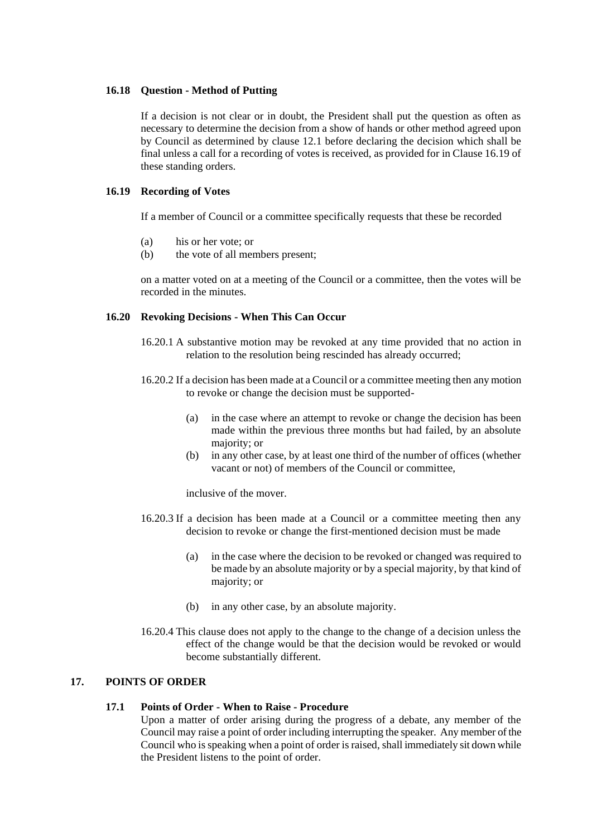## **16.18 Question - Method of Putting**

If a decision is not clear or in doubt, the President shall put the question as often as necessary to determine the decision from a show of hands or other method agreed upon by Council as determined by clause 12.1 before declaring the decision which shall be final unless a call for a recording of votes is received, as provided for in Clause 16.19 of these standing orders.

#### **16.19 Recording of Votes**

If a member of Council or a committee specifically requests that these be recorded

- (a) his or her vote; or
- (b) the vote of all members present;

on a matter voted on at a meeting of the Council or a committee, then the votes will be recorded in the minutes.

## **16.20 Revoking Decisions - When This Can Occur**

- 16.20.1 A substantive motion may be revoked at any time provided that no action in relation to the resolution being rescinded has already occurred;
- 16.20.2 If a decision has been made at a Council or a committee meeting then any motion to revoke or change the decision must be supported-
	- (a) in the case where an attempt to revoke or change the decision has been made within the previous three months but had failed, by an absolute majority; or
	- (b) in any other case, by at least one third of the number of offices (whether vacant or not) of members of the Council or committee,

inclusive of the mover.

- 16.20.3 If a decision has been made at a Council or a committee meeting then any decision to revoke or change the first-mentioned decision must be made
	- (a) in the case where the decision to be revoked or changed was required to be made by an absolute majority or by a special majority, by that kind of majority; or
	- (b) in any other case, by an absolute majority.
- 16.20.4 This clause does not apply to the change to the change of a decision unless the effect of the change would be that the decision would be revoked or would become substantially different.

## **17. POINTS OF ORDER**

#### **17.1 Points of Order - When to Raise - Procedure**

Upon a matter of order arising during the progress of a debate, any member of the Council may raise a point of order including interrupting the speaker. Any member of the Council who is speaking when a point of order is raised, shall immediately sit down while the President listens to the point of order.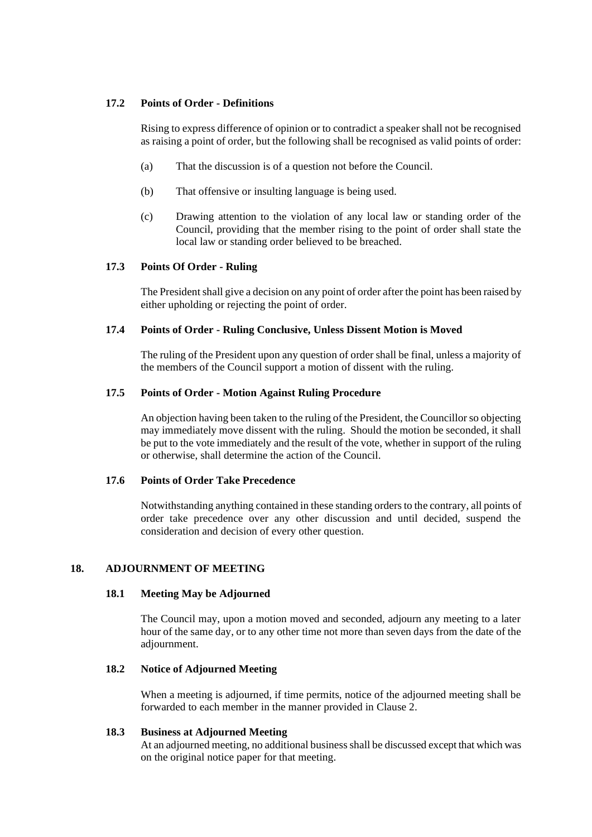## **17.2 Points of Order - Definitions**

Rising to express difference of opinion or to contradict a speaker shall not be recognised as raising a point of order, but the following shall be recognised as valid points of order:

- (a) That the discussion is of a question not before the Council.
- (b) That offensive or insulting language is being used.
- (c) Drawing attention to the violation of any local law or standing order of the Council, providing that the member rising to the point of order shall state the local law or standing order believed to be breached.

## **17.3 Points Of Order - Ruling**

The President shall give a decision on any point of order after the point has been raised by either upholding or rejecting the point of order.

## **17.4 Points of Order - Ruling Conclusive, Unless Dissent Motion is Moved**

The ruling of the President upon any question of order shall be final, unless a majority of the members of the Council support a motion of dissent with the ruling.

## **17.5 Points of Order - Motion Against Ruling Procedure**

An objection having been taken to the ruling of the President, the Councillor so objecting may immediately move dissent with the ruling. Should the motion be seconded, it shall be put to the vote immediately and the result of the vote, whether in support of the ruling or otherwise, shall determine the action of the Council.

## **17.6 Points of Order Take Precedence**

Notwithstanding anything contained in these standing orders to the contrary, all points of order take precedence over any other discussion and until decided, suspend the consideration and decision of every other question.

## **18. ADJOURNMENT OF MEETING**

## **18.1 Meeting May be Adjourned**

The Council may, upon a motion moved and seconded, adjourn any meeting to a later hour of the same day, or to any other time not more than seven days from the date of the adjournment.

## **18.2 Notice of Adjourned Meeting**

When a meeting is adjourned, if time permits, notice of the adjourned meeting shall be forwarded to each member in the manner provided in Clause 2.

## **18.3 Business at Adjourned Meeting**

At an adjourned meeting, no additional business shall be discussed except that which was on the original notice paper for that meeting.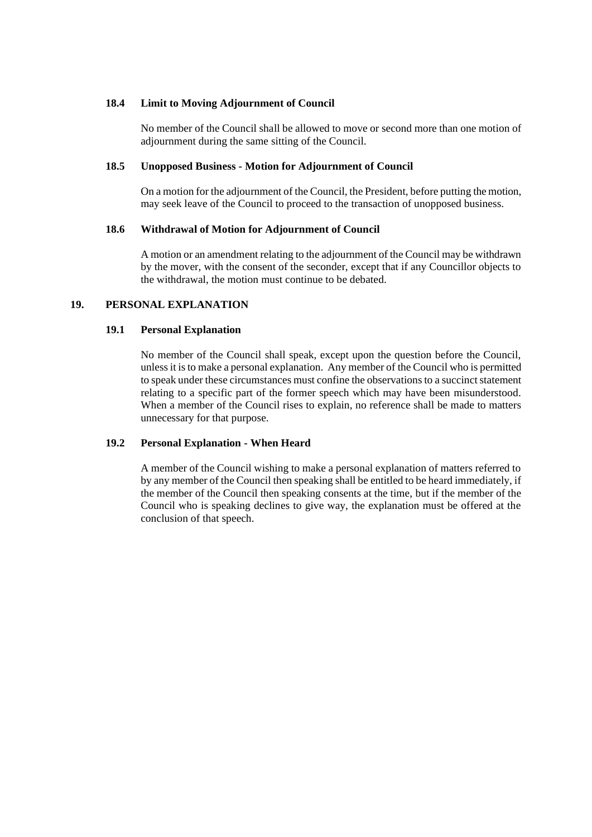## **18.4 Limit to Moving Adjournment of Council**

No member of the Council shall be allowed to move or second more than one motion of adjournment during the same sitting of the Council.

## **18.5 Unopposed Business - Motion for Adjournment of Council**

On a motion for the adjournment of the Council, the President, before putting the motion, may seek leave of the Council to proceed to the transaction of unopposed business.

## **18.6 Withdrawal of Motion for Adjournment of Council**

A motion or an amendment relating to the adjournment of the Council may be withdrawn by the mover, with the consent of the seconder, except that if any Councillor objects to the withdrawal, the motion must continue to be debated.

## **19. PERSONAL EXPLANATION**

## **19.1 Personal Explanation**

No member of the Council shall speak, except upon the question before the Council, unless it is to make a personal explanation. Any member of the Council who is permitted to speak under these circumstances must confine the observations to a succinct statement relating to a specific part of the former speech which may have been misunderstood*.*  When a member of the Council rises to explain, no reference shall be made to matters unnecessary for that purpose.

## **19.2 Personal Explanation - When Heard**

A member of the Council wishing to make a personal explanation of matters referred to by any member of the Council then speaking shall be entitled to be heard immediately, if the member of the Council then speaking consents at the time, but if the member of the Council who is speaking declines to give way, the explanation must be offered at the conclusion of that speech.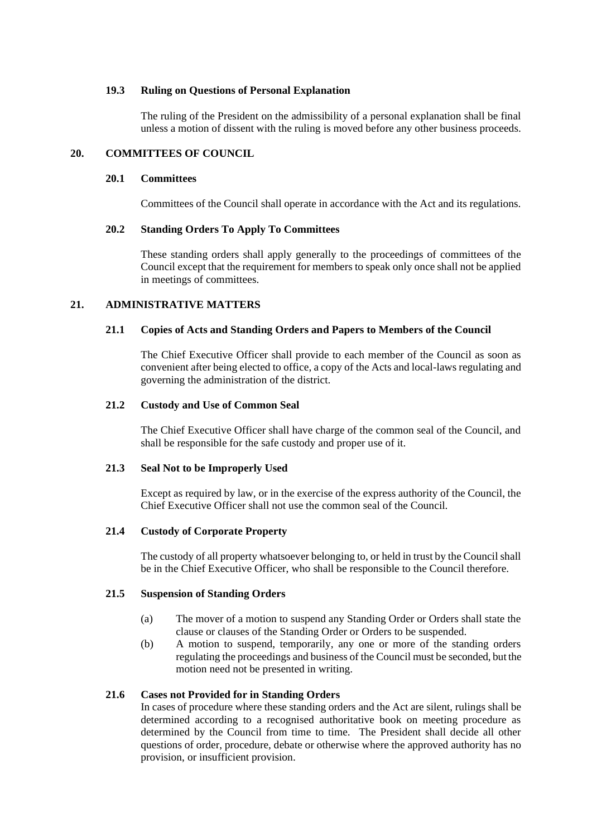#### **19.3 Ruling on Questions of Personal Explanation**

The ruling of the President on the admissibility of a personal explanation shall be final unless a motion of dissent with the ruling is moved before any other business proceeds.

## **20. COMMITTEES OF COUNCIL**

## **20.1 Committees**

Committees of the Council shall operate in accordance with the Act and its regulations.

#### **20.2 Standing Orders To Apply To Committees**

These standing orders shall apply generally to the proceedings of committees of the Council except that the requirement for members to speak only once shall not be applied in meetings of committees.

## **21. ADMINISTRATIVE MATTERS**

#### **21.1 Copies of Acts and Standing Orders and Papers to Members of the Council**

The Chief Executive Officer shall provide to each member of the Council as soon as convenient after being elected to office, a copy of the Acts and local-laws regulating and governing the administration of the district.

#### **21.2 Custody and Use of Common Seal**

The Chief Executive Officer shall have charge of the common seal of the Council, and shall be responsible for the safe custody and proper use of it.

#### **21.3 Seal Not to be Improperly Used**

Except as required by law, or in the exercise of the express authority of the Council, the Chief Executive Officer shall not use the common seal of the Council.

## **21.4 Custody of Corporate Property**

The custody of all property whatsoever belonging to, or held in trust by the Council shall be in the Chief Executive Officer, who shall be responsible to the Council therefore.

## **21.5 Suspension of Standing Orders**

- (a) The mover of a motion to suspend any Standing Order or Orders shall state the clause or clauses of the Standing Order or Orders to be suspended.
- (b) A motion to suspend, temporarily, any one or more of the standing orders regulating the proceedings and business of the Council must be seconded, but the motion need not be presented in writing.

## **21.6 Cases not Provided for in Standing Orders**

In cases of procedure where these standing orders and the Act are silent, rulings shall be determined according to a recognised authoritative book on meeting procedure as determined by the Council from time to time. The President shall decide all other questions of order, procedure, debate or otherwise where the approved authority has no provision, or insufficient provision.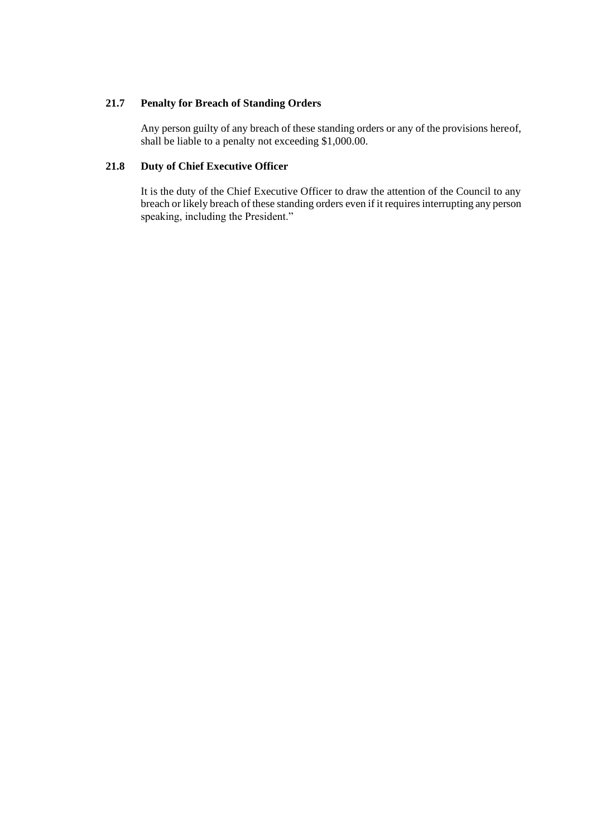## **21.7 Penalty for Breach of Standing Orders**

Any person guilty of any breach of these standing orders or any of the provisions hereof, shall be liable to a penalty not exceeding \$1,000.00.

## **21.8 Duty of Chief Executive Officer**

It is the duty of the Chief Executive Officer to draw the attention of the Council to any breach or likely breach of these standing orders even if it requires interrupting any person speaking, including the President."